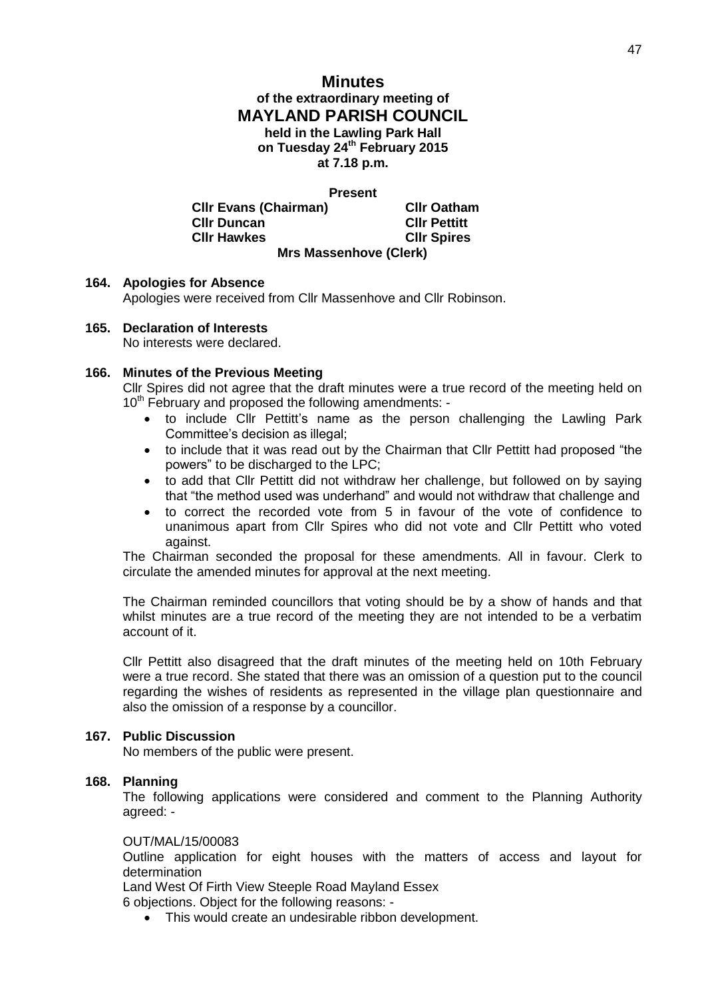# **Minutes of the extraordinary meeting of MAYLAND PARISH COUNCIL held in the Lawling Park Hall on Tuesday 24th February 2015 at 7.18 p.m.**

**Present**

**Cllr Evans (Chairman) Cllr Oatham Cllr Duncan Cllr Pettitt Cllr Hawkes Cllr Spires Mrs Massenhove (Clerk)**

## **164. Apologies for Absence**

Apologies were received from Cllr Massenhove and Cllr Robinson.

#### **165. Declaration of Interests**

No interests were declared.

## **166. Minutes of the Previous Meeting**

Cllr Spires did not agree that the draft minutes were a true record of the meeting held on 10<sup>th</sup> February and proposed the following amendments: -

- to include Cllr Pettitt's name as the person challenging the Lawling Park Committee's decision as illegal;
- to include that it was read out by the Chairman that Cllr Pettitt had proposed "the powers" to be discharged to the LPC;
- to add that Cllr Pettitt did not withdraw her challenge, but followed on by saying that "the method used was underhand" and would not withdraw that challenge and
- to correct the recorded vote from 5 in favour of the vote of confidence to unanimous apart from Cllr Spires who did not vote and Cllr Pettitt who voted against.

The Chairman seconded the proposal for these amendments. All in favour. Clerk to circulate the amended minutes for approval at the next meeting.

The Chairman reminded councillors that voting should be by a show of hands and that whilst minutes are a true record of the meeting they are not intended to be a verbatim account of it.

Cllr Pettitt also disagreed that the draft minutes of the meeting held on 10th February were a true record. She stated that there was an omission of a question put to the council regarding the wishes of residents as represented in the village plan questionnaire and also the omission of a response by a councillor.

## **167. Public Discussion**

No members of the public were present.

## **168. Planning**

The following applications were considered and comment to the Planning Authority agreed: -

#### OUT/MAL/15/00083

Outline application for eight houses with the matters of access and layout for determination

Land West Of Firth View Steeple Road Mayland Essex

6 objections. Object for the following reasons: -

This would create an undesirable ribbon development.